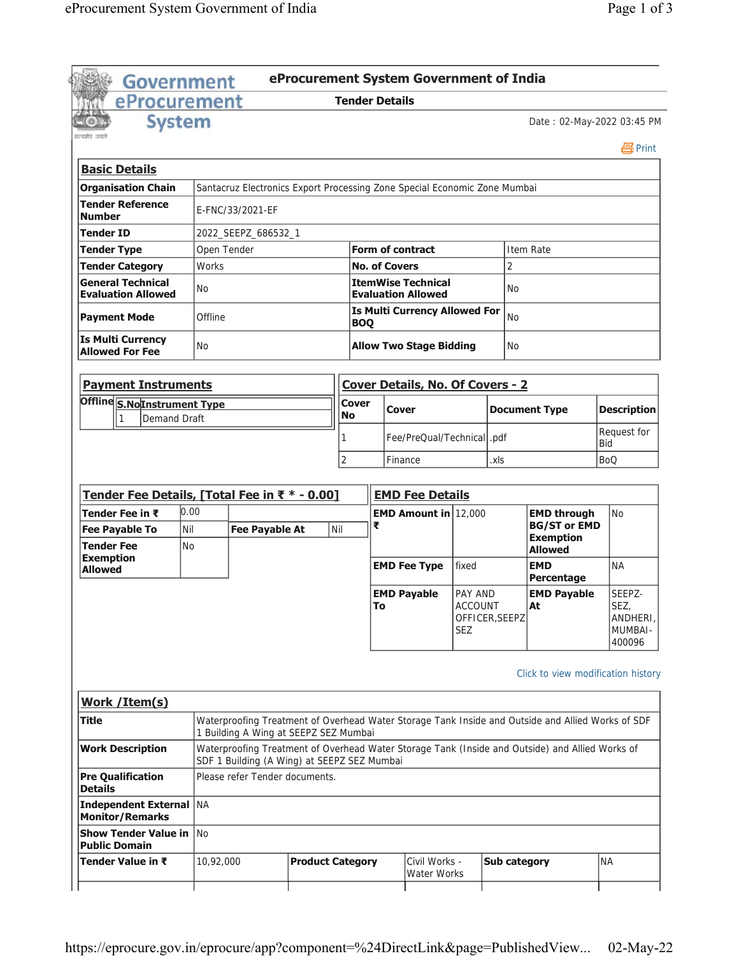| Government                                               |               |             |                                                                           |                         |                       |                             | eProcurement System Government of India                |                                         |                     |                                                                                                                                         |                                                |  |
|----------------------------------------------------------|---------------|-------------|---------------------------------------------------------------------------|-------------------------|-----------------------|-----------------------------|--------------------------------------------------------|-----------------------------------------|---------------------|-----------------------------------------------------------------------------------------------------------------------------------------|------------------------------------------------|--|
| eProcurement                                             |               |             |                                                                           |                         | <b>Tender Details</b> |                             |                                                        |                                         |                     |                                                                                                                                         |                                                |  |
| मन्यमेव जया                                              | <b>System</b> |             |                                                                           |                         |                       |                             |                                                        |                                         |                     | Date: 02-May-2022 03:45 PM                                                                                                              |                                                |  |
|                                                          |               |             |                                                                           |                         |                       |                             |                                                        |                                         |                     |                                                                                                                                         | 昌Print                                         |  |
| <b>Basic Details</b>                                     |               |             |                                                                           |                         |                       |                             |                                                        |                                         |                     |                                                                                                                                         |                                                |  |
| <b>Organisation Chain</b>                                |               |             | Santacruz Electronics Export Processing Zone Special Economic Zone Mumbai |                         |                       |                             |                                                        |                                         |                     |                                                                                                                                         |                                                |  |
| <b>Tender Reference</b><br><b>Number</b>                 |               |             | E-FNC/33/2021-EF                                                          |                         |                       |                             |                                                        |                                         |                     |                                                                                                                                         |                                                |  |
| Tender ID                                                |               |             | 2022_SEEPZ_686532_1                                                       |                         |                       |                             |                                                        |                                         |                     |                                                                                                                                         |                                                |  |
| <b>Tender Type</b>                                       |               | Open Tender |                                                                           |                         |                       |                             | <b>Form of contract</b>                                |                                         |                     | Item Rate                                                                                                                               |                                                |  |
| <b>Tender Category</b>                                   |               | Works       |                                                                           |                         |                       | <b>No. of Covers</b>        |                                                        |                                         | $\overline{2}$      |                                                                                                                                         |                                                |  |
| <b>General Technical</b><br><b>Evaluation Allowed</b>    |               | No.         |                                                                           |                         |                       |                             | <b>ItemWise Technical</b><br><b>Evaluation Allowed</b> |                                         | <b>No</b>           |                                                                                                                                         |                                                |  |
| <b>Payment Mode</b>                                      |               | Offline     |                                                                           |                         | <b>BOQ</b>            |                             | <b>Is Multi Currency Allowed For</b>                   |                                         | <b>No</b>           |                                                                                                                                         |                                                |  |
| <b>Is Multi Currency</b><br><b>Allowed For Fee</b>       |               | <b>No</b>   |                                                                           |                         |                       |                             | <b>Allow Two Stage Bidding</b>                         |                                         | <b>No</b>           |                                                                                                                                         |                                                |  |
| <b>Payment Instruments</b>                               |               |             |                                                                           |                         |                       |                             | Cover Details, No. Of Covers - 2                       |                                         |                     |                                                                                                                                         |                                                |  |
| Offline S.NoInstrument Type                              |               |             |                                                                           |                         | Cover                 |                             |                                                        |                                         |                     |                                                                                                                                         |                                                |  |
| 1                                                        | Demand Draft  |             |                                                                           |                         | <b>No</b>             |                             | Cover                                                  |                                         |                     | <b>Document Type</b>                                                                                                                    | <b>Description</b>                             |  |
|                                                          |               |             |                                                                           |                         |                       | Fee/PreQual/Technical  .pdf |                                                        |                                         |                     | Request for<br>Bid                                                                                                                      |                                                |  |
|                                                          |               |             |                                                                           |                         | $\overline{2}$        |                             | Finance                                                | .xls                                    |                     |                                                                                                                                         | <b>BoQ</b>                                     |  |
|                                                          |               |             |                                                                           |                         |                       |                             |                                                        |                                         |                     |                                                                                                                                         |                                                |  |
| Tender Fee Details, [Total Fee in ₹ * - 0.00]            |               |             |                                                                           |                         |                       |                             | <b>EMD Fee Details</b>                                 |                                         |                     |                                                                                                                                         |                                                |  |
| Tender Fee in ₹                                          | 0.00          |             |                                                                           |                         |                       |                             | <b>EMD Amount in 12,000</b>                            |                                         |                     | <b>EMD through</b>                                                                                                                      | <b>No</b>                                      |  |
| <b>Fee Payable To</b>                                    | Nil           |             | <b>Fee Payable At</b>                                                     |                         | Nil                   | ₹                           |                                                        |                                         |                     | <b>BG/ST or EMD</b>                                                                                                                     |                                                |  |
| <b>Tender Fee</b>                                        | <b>No</b>     |             |                                                                           |                         |                       |                             |                                                        |                                         |                     | <b>Exemption</b><br><b>Allowed</b>                                                                                                      |                                                |  |
| <b>Exemption</b><br><b>Allowed</b>                       |               |             |                                                                           |                         |                       |                             | <b>EMD Fee Type</b>                                    | fixed                                   |                     | <b>EMD</b><br>Percentage                                                                                                                | <b>NA</b>                                      |  |
|                                                          |               |             |                                                                           |                         |                       | To                          | <b>EMD Payable</b>                                     | PAY AND<br><b>ACCOUNT</b><br><b>SEZ</b> | OFFICER, SEEPZ      | <b>EMD Payable</b><br>At                                                                                                                | SEEPZ-<br>SEZ<br>ANDHERI,<br>MUMBAI-<br>400096 |  |
| Work / Item(s)<br>Title                                  |               |             |                                                                           |                         |                       |                             |                                                        |                                         |                     | Click to view modification history<br>Waterproofing Treatment of Overhead Water Storage Tank Inside and Outside and Allied Works of SDF |                                                |  |
| <b>Work Description</b>                                  |               |             | 1 Building A Wing at SEEPZ SEZ Mumbai                                     |                         |                       |                             |                                                        |                                         |                     | Waterproofing Treatment of Overhead Water Storage Tank (Inside and Outside) and Allied Works of                                         |                                                |  |
|                                                          |               |             | SDF 1 Building (A Wing) at SEEPZ SEZ Mumbai                               |                         |                       |                             |                                                        |                                         |                     |                                                                                                                                         |                                                |  |
| <b>Pre Qualification</b><br><b>Details</b>               |               |             | Please refer Tender documents.                                            |                         |                       |                             |                                                        |                                         |                     |                                                                                                                                         |                                                |  |
| <b>Independent External NA</b><br><b>Monitor/Remarks</b> |               |             |                                                                           |                         |                       |                             |                                                        |                                         |                     |                                                                                                                                         |                                                |  |
| <b>Show Tender Value in</b><br><b>Public Domain</b>      |               | l No        |                                                                           |                         |                       |                             |                                                        |                                         |                     |                                                                                                                                         |                                                |  |
| Tender Value in ₹                                        |               | 10,92,000   |                                                                           | <b>Product Category</b> |                       |                             | Civil Works -<br>Water Works                           |                                         | <b>Sub category</b> |                                                                                                                                         | <b>NA</b>                                      |  |
|                                                          |               |             |                                                                           |                         |                       |                             |                                                        |                                         |                     |                                                                                                                                         |                                                |  |